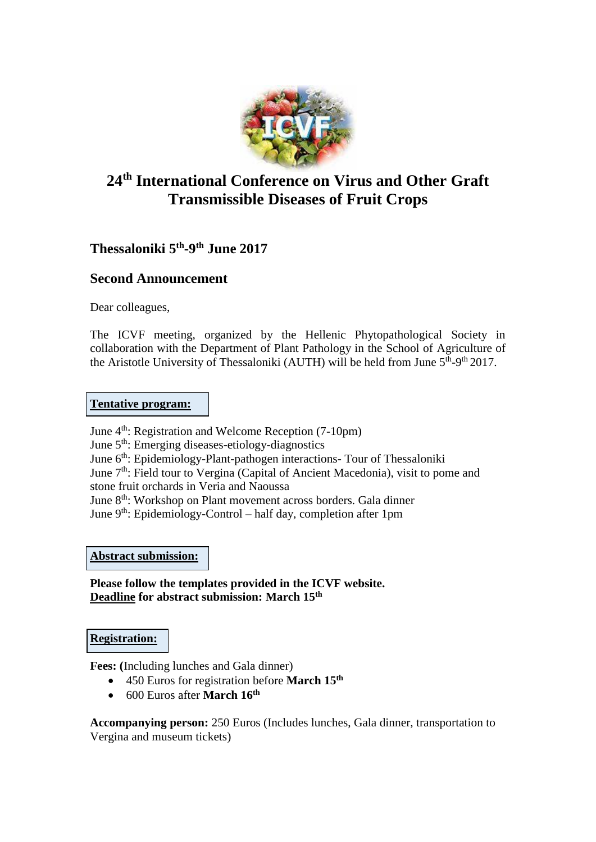

# **24th International Conference on Virus and Other Graft Transmissible Diseases of Fruit Crops**

**Thessaloniki 5 th -9 th June 2017**

# **Second Announcement**

Dear colleagues,

The ICVF meeting, organized by the Hellenic Phytopathological Society in collaboration with the Department of Plant Pathology in the School of Agriculture of the Aristotle University of Thessaloniki (AUTH) will be held from June  $5<sup>th</sup>-9<sup>th</sup>2017$ .

# **Tentative program:**

June 4<sup>th</sup>: Registration and Welcome Reception (7-10pm)

June 5th: Emerging diseases-etiology-diagnostics

June 6<sup>th</sup>: Epidemiology-Plant-pathogen interactions- Tour of Thessaloniki

June 7<sup>th</sup>: Field tour to Vergina (Capital of Ancient Macedonia), visit to pome and

stone fruit orchards in Veria and Naoussa

June 8<sup>th</sup>: Workshop on Plant movement across borders. Gala dinner

June  $9<sup>th</sup>$ : Epidemiology-Control – half day, completion after 1pm

**Abstract submission:**

**Please follow the templates provided in the ICVF website. Deadline for abstract submission: March 15th**

# **Registration:**

**Fees: (**Including lunches and Gala dinner)

- 450 Euros for registration before **March 15th**
- 600 Euros after **March 16th**

**Accompanying person:** 250 Euros (Includes lunches, Gala dinner, transportation to Vergina and museum tickets)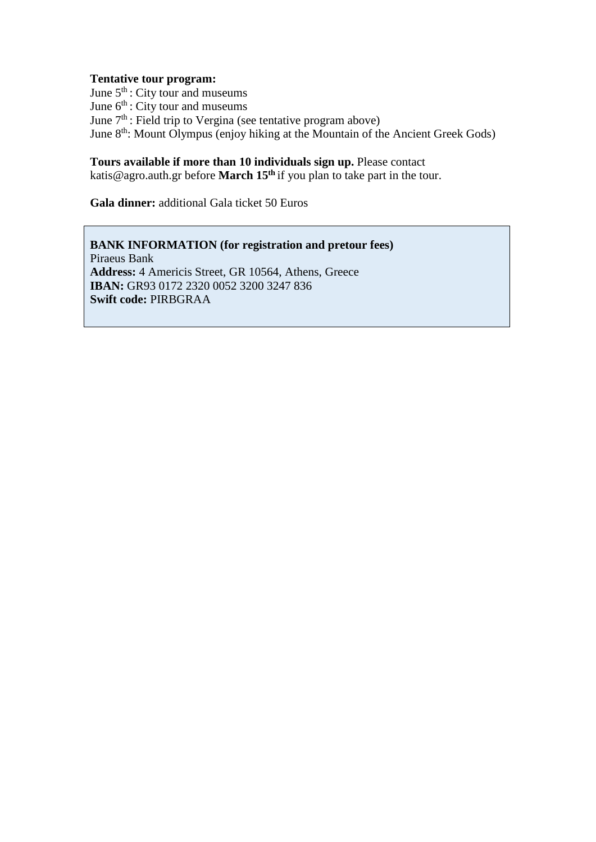#### **Tentative tour program:**

June  $5<sup>th</sup>$ : City tour and museums June  $6<sup>th</sup>$ : City tour and museums June  $7<sup>th</sup>$ : Field trip to Vergina (see tentative program above) June 8<sup>th</sup>: Mount Olympus (enjoy hiking at the Mountain of the Ancient Greek Gods)

# **Tours available if more than 10 individuals sign up.** Please contact

katis@agro.auth.gr before **March 15th** if you plan to take part in the tour.

**Gala dinner:** additional Gala ticket 50 Euros

**BANK INFORMATION (for registration and pretour fees)**  Piraeus Bank **Address:** 4 Americis Street, GR 10564, Athens, Greece **IBAN:** GR93 0172 2320 0052 3200 3247 836 **Swift code:** PIRBGRAA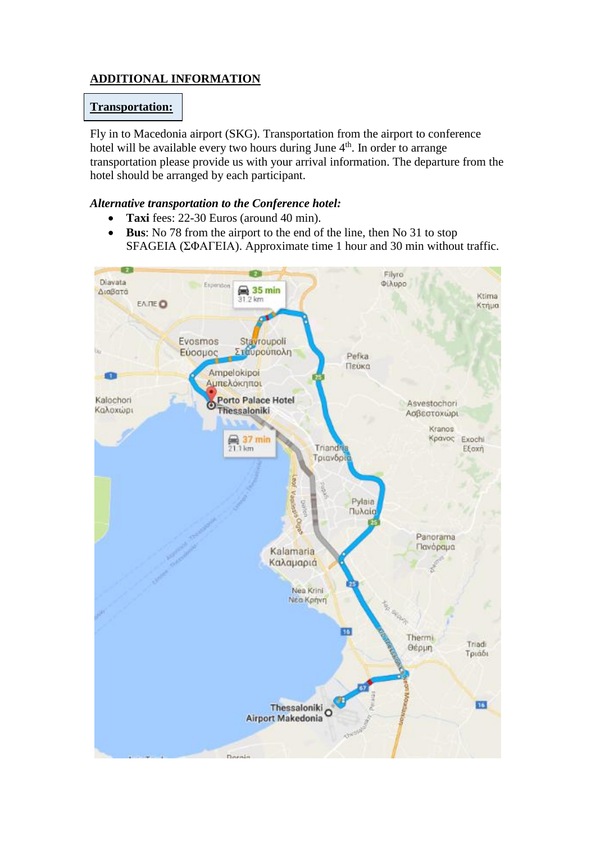# **ADDITIONAL INFORMATION**

## **Transportation:**

Fly in to Macedonia airport (SKG). Transportation from the airport to conference hotel will be available every two hours during June 4<sup>th</sup>. In order to arrange transportation please provide us with your arrival information. The departure from the hotel should be arranged by each participant.

## *Alternative transportation to the Conference hotel:*

- **Taxi** fees: 22-30 Euros (around 40 min).
- **Bus**: No 78 from the airport to the end of the line, then No 31 to stop SFAGEIA (ΣΦΑΓΕΙΑ). Approximate time 1 hour and 30 min without traffic.

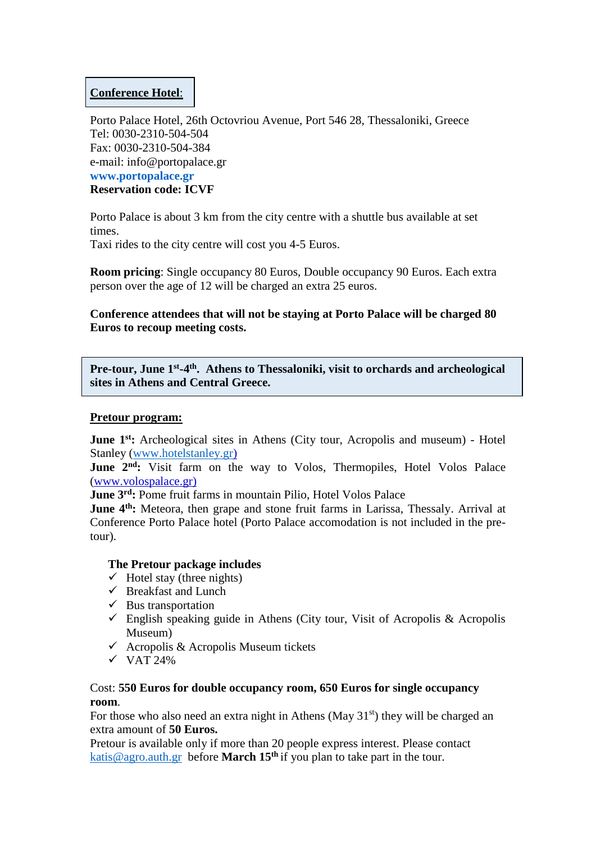## **Conference Hotel**:

Porto Palace Hotel, 26th Octovriou Avenue, Port 546 28, Thessaloniki, Greece Tel: 0030-2310-504-504 Fax: 0030-2310-504-384 e-mail: info@portopalace.gr **www.portopalace.gr Reservation code: ICVF**

Porto Palace is about 3 km from the city centre with a shuttle bus available at set times.

Taxi rides to the city centre will cost you 4-5 Euros.

**Room pricing**: Single occupancy 80 Euros, Double occupancy 90 Euros. Each extra person over the age of 12 will be charged an extra 25 euros.

**Conference attendees that will not be staying at Porto Palace will be charged 80 Euros to recoup meeting costs.**

Pre-tour, June 1<sup>st</sup>-4<sup>th</sup>. Athens to Thessaloniki, visit to orchards and archeological **sites in Athens and Central Greece.**

## **Pretour program:**

**June 1st:** Archeological sites in Athens (City tour, Acropolis and museum) - Hotel Stanley [\(www.hotelstanley.gr\)](http://www.hotelstanley.gr/)

June 2<sup>nd</sup>: Visit farm on the way to Volos, Thermopiles, Hotel Volos Palace (www.volospalace.gr)

**June 3rd:** Pome fruit farms in mountain Pilio, Hotel Volos Palace

**June 4th:** Meteora, then grape and stone fruit farms in Larissa, Thessaly. Arrival at Conference Porto Palace hotel (Porto Palace accomodation is not included in the pretour).

## **The Pretour package includes**

- $\checkmark$  Hotel stay (three nights)
- $\checkmark$  Breakfast and Lunch
- $\checkmark$  Bus transportation
- $\checkmark$  English speaking guide in Athens (City tour, Visit of Acropolis & Acropolis Museum)
- $\checkmark$  Acropolis & Acropolis Museum tickets
- $\checkmark$  VAT 24%

## Cost: **550 Euros for double occupancy room, 650 Euros for single occupancy room**.

For those who also need an extra night in Athens (May  $31<sup>st</sup>$ ) they will be charged an extra amount of **50 Euros.**

Pretour is available only if more than 20 people express interest. Please contact [katis@agro.auth.gr](mailto:katis@agro.auth.gr) before **March 15th** if you plan to take part in the tour.